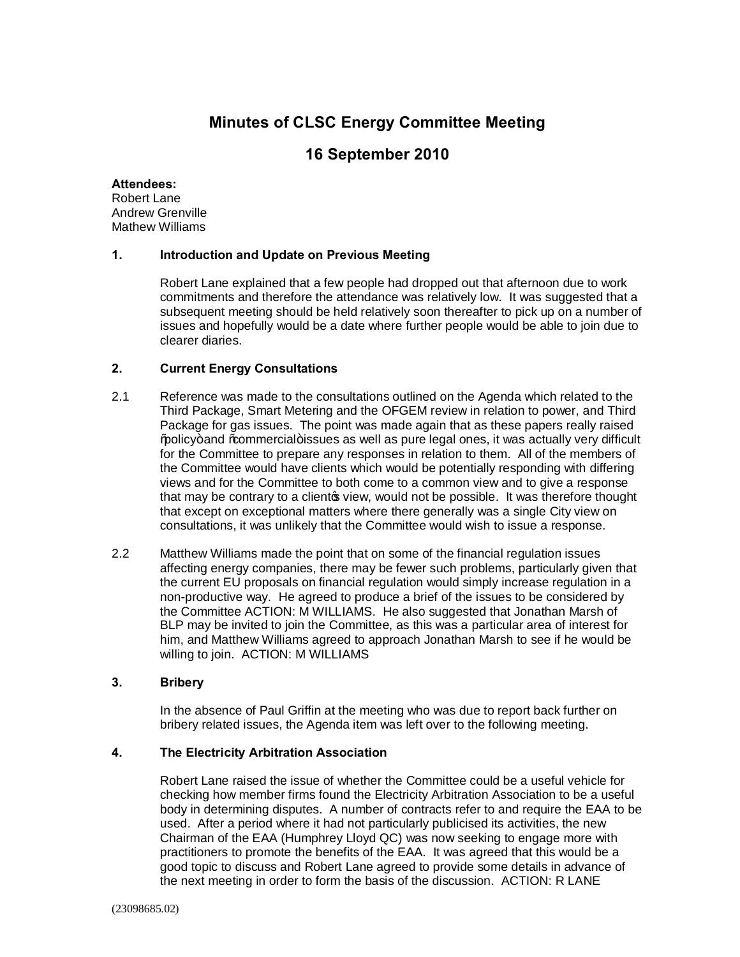# **Minutes of CLSC Energy Committee Meeting**

# **16 September 2010**

#### **Attendees:**

Robert Lane Andrew Grenville Mathew Williams

### **1. Introduction and Update on Previous Meeting**

Robert Lane explained that a few people had dropped out that afternoon due to work commitments and therefore the attendance was relatively low. It was suggested that a subsequent meeting should be held relatively soon thereafter to pick up on a number of issues and hopefully would be a date where further people would be able to join due to clearer diaries.

### **2. Current Energy Consultations**

- 2.1 Reference was made to the consultations outlined on the Agenda which related to the Third Package, Smart Metering and the OFGEM review in relation to power, and Third Package for gas issues. The point was made again that as these papers really raised % policy+ and % ommercial+ issues as well as pure legal ones, it was actually very difficult for the Committee to prepare any responses in relation to them. All of the members of the Committee would have clients which would be potentially responding with differing views and for the Committee to both come to a common view and to give a response that may be contrary to a client to view, would not be possible. It was therefore thought that except on exceptional matters where there generally was a single City view on consultations, it was unlikely that the Committee would wish to issue a response.
- 2.2 Matthew Williams made the point that on some of the financial regulation issues affecting energy companies, there may be fewer such problems, particularly given that the current EU proposals on financial regulation would simply increase regulation in a non-productive way. He agreed to produce a brief of the issues to be considered by the Committee ACTION: M WILLIAMS. He also suggested that Jonathan Marsh of BLP may be invited to join the Committee, as this was a particular area of interest for him, and Matthew Williams agreed to approach Jonathan Marsh to see if he would be willing to join. ACTION: M WILLIAMS

## **3. Bribery**

In the absence of Paul Griffin at the meeting who was due to report back further on bribery related issues, the Agenda item was left over to the following meeting.

### **4. The Electricity Arbitration Association**

Robert Lane raised the issue of whether the Committee could be a useful vehicle for checking how member firms found the Electricity Arbitration Association to be a useful body in determining disputes. A number of contracts refer to and require the EAA to be used. After a period where it had not particularly publicised its activities, the new Chairman of the EAA (Humphrey Lloyd QC) was now seeking to engage more with practitioners to promote the benefits of the EAA. It was agreed that this would be a good topic to discuss and Robert Lane agreed to provide some details in advance of the next meeting in order to form the basis of the discussion. ACTION: R LANE